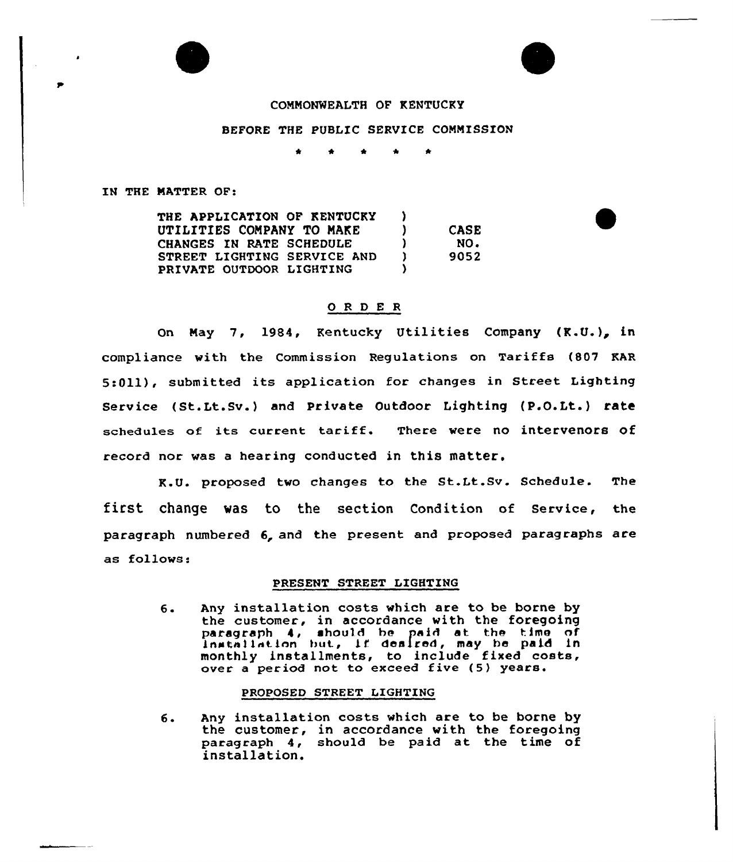## CONNONNEALTH OF KENTUCKY

## BEFORE THE PUBLIC SERVICE CONNISSION

IN THE NATTER OF:

| THE APPLICATION OF KENTUCKY |    |             |
|-----------------------------|----|-------------|
| UTILITIES COMPANY TO MAKE   |    | <b>CASE</b> |
| CHANGES IN RATE SCHEDULE    |    | NO.         |
| STREET LIGHTING SERVICE AND | -1 | 9052        |
| PRIVATE OUTDOOR LIGHTING    |    |             |

#### 0 <sup>R</sup> <sup>D</sup> E <sup>R</sup>

On May 7, 1984, Kentucky Utilities Company (K.U.), in compliance with the Commission Regulations on Tariffs (807 KAR 5:011), submitted its application for changes in Street Lighting Service ( St.Lt.Sv. } and Private Outdoor Lighting (P.O.Lt. } rate schedules of its current tariff. There were no intervenors of record nor was a hearing conducted in this matter.

K.U. proposed two changes to the St.Lt.Sv. Schedule. The first change was to the section Condition of Service, the paragraph numbered 6, and the present and proposed paragraphs are as follows:

#### PRESENT STREET LIGHTING

 $6.$ Any installation costs which are to be borne by the customer, in accordance with the foregoing paragraph 4, shou)d he paid at the time of paragraph 4, anound be paid at the time of mathematics, but, it downton, may be part in over a period not to exceed five (5) years.

#### PROPOSED STREET LIGHTING

б. Any installation costs which are to be borne by the customer, in accordance with the foregoing paragraph 4, should be paid at the time of installation.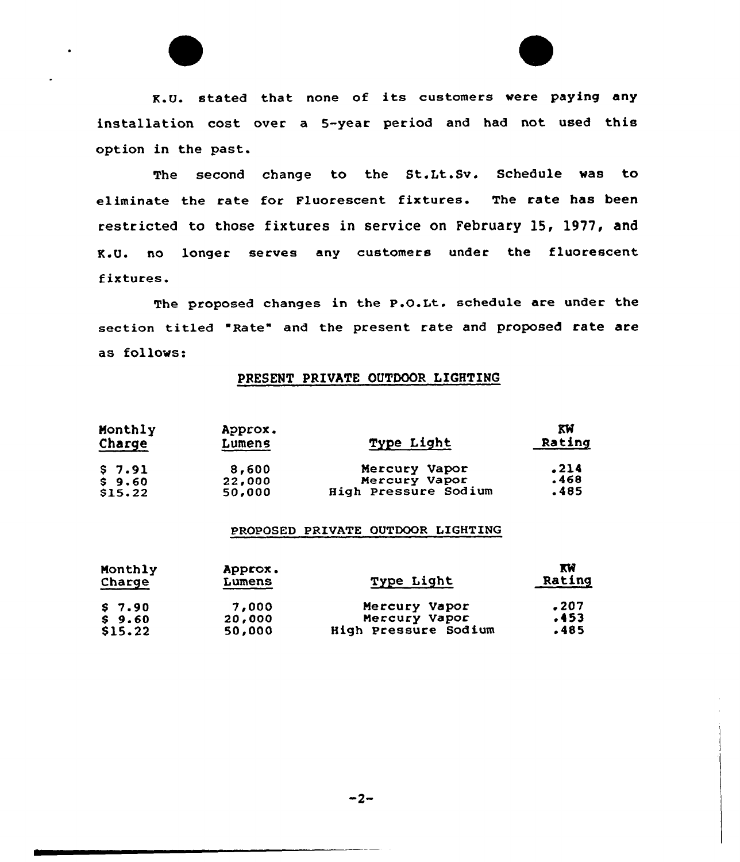

The second change to the St.Lt.Sv. Schedule vas to eliminate the rate for Fluorescent fixtures. The rate has been restricted to those fixtures in service on February 15, 1977, and K.U. no longer serves any customers under the fluorescent fixtures.

The proposed changes in the P.O.Lt. schedule are under the section titled "Rate" and the present rate and proposed rate are as follovs:

# PRESENT PRIVATE OUTDOOR LIGHTING

| Monthly<br>Charge | Approx.<br>Lumens | Type Light           | KW<br>Rating |
|-------------------|-------------------|----------------------|--------------|
| 57.91             | 8,600             | Mercury Vapor        | .214         |
| $S$ 9.60          | 22,000            | Mercury Vapor        | .468         |
| \$15.22           | 50,000            | High Pressure Sodium | .485         |

### PROPOSED PRIVATE OUTDOOR LIGHTING

| Monthly<br>Charge | Approx.<br>Lumens | Type Light           | <b>KW</b><br>Rating |
|-------------------|-------------------|----------------------|---------------------|
| \$7.90            | 7,000             | Mercury Vapor        | - 207               |
| \$9.60            | 20,000            | Mercury Vapor        | .453                |
| \$15.22           | 50,000            | High Pressure Sodium | -485                |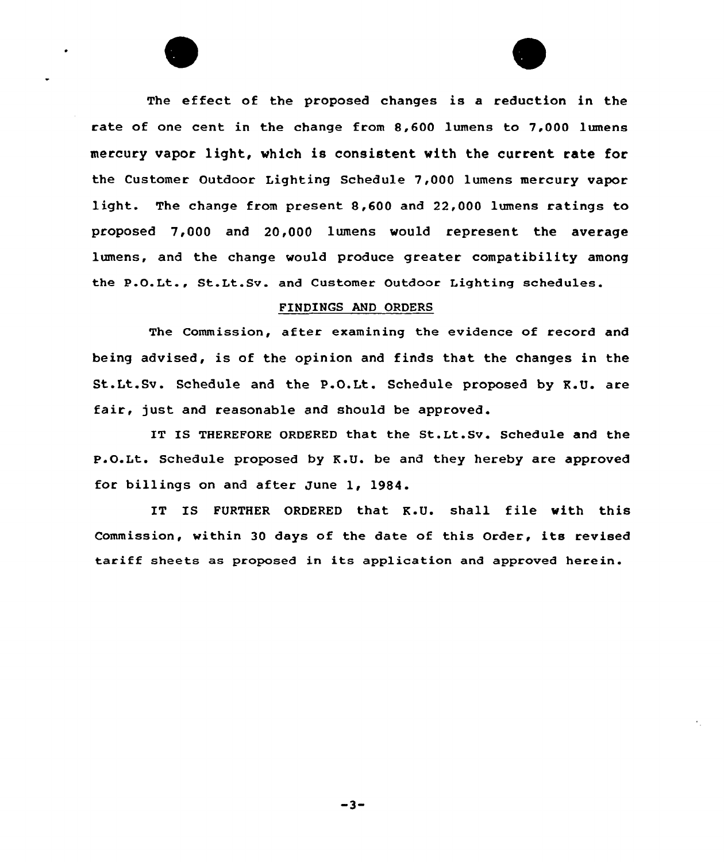The effeet of the proposed changes is a reduction in the rate of one cent in the change from 8,600 lumens to 7,000 lumens mercury vapor light, which is consistent with the current rate for the Customer Outdoor Lighting Schedule 7,000 lumens mercury vapor light. The change from present 8,600 and 22,000 lumens ratings to proposed 7,000 and 20,000 lumens would represent the average lumens, and the change would produce greater compatibility among the P.O.Lt., St.Lt.Sv. and Customer Outdoor Lighting schedules.

#### FINDINGS AND ORDERS

The Commission, after examining the evidence of record and being advised, is of the opinion and finds that the changes in the St.Lt.Sv. Schedule and the P.O.Lt. Schedule proposed by K.U. are fair, just and reasonable and should be approved.

IT IS THEREFORE ORDERED that the St.Lt.Sv. Schedule and the P.O.Lt. Schedule proposed by K.U. be and they hereby are approved for billings on and after June 1, 1984.

IT IS FURTHER ORDERED that K.U. shall file with this Commission, within <sup>30</sup> days of the date of this Order, its revised tariff sheets as proposed in its application and approved herein.

 $-3-$